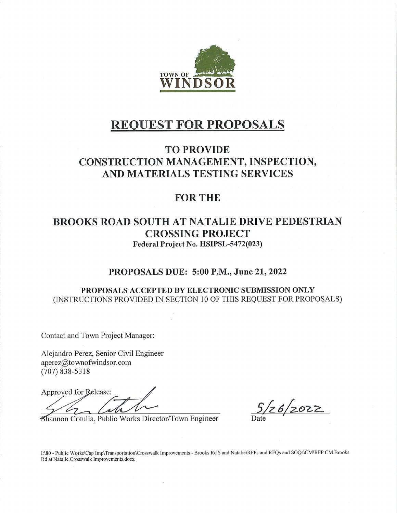

# **REQUEST FOR PROPOSALS**

# **TO PROVIDE** CONSTRUCTION MANAGEMENT, INSPECTION, AND MATERIALS TESTING SERVICES

# **FOR THE**

# **BROOKS ROAD SOUTH AT NATALIE DRIVE PEDESTRIAN CROSSING PROJECT** Federal Project No. HSIPSL-5472(023)

# PROPOSALS DUE: 5:00 P.M., June 21, 2022

#### PROPOSALS ACCEPTED BY ELECTRONIC SUBMISSION ONLY (INSTRUCTIONS PROVIDED IN SECTION 10 OF THIS REQUEST FOR PROPOSALS)

Contact and Town Project Manager:

Alejandro Perez, Senior Civil Engineer aperez@townofwindsor.com  $(707) 838 - 5318$ 

Approved for Release:

Shannon Cotulla, Public Works Director/Town Engineer

 $\frac{5}{26}$  2022

I:\80 - Public Works\Cap Imp\Transportation\Crosswalk Improvements - Brooks Rd S and Natalie\RFPs and RFQs and SOQs\CM\RFP CM Brooks Rd at Nataile Crosswalk Improvements.docx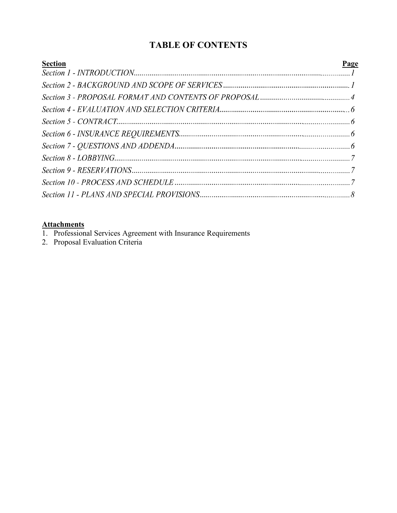# **TABLE OF CONTENTS**

| <b>Section</b> | <b>Page</b> |
|----------------|-------------|
|                |             |
|                |             |
|                |             |
|                |             |
|                |             |
|                |             |
|                |             |
|                |             |
|                |             |
|                |             |
|                |             |

#### **Attachments**

- 1. Professional Services Agreement with Insurance Requirements
- 2. Proposal Evaluation Criteria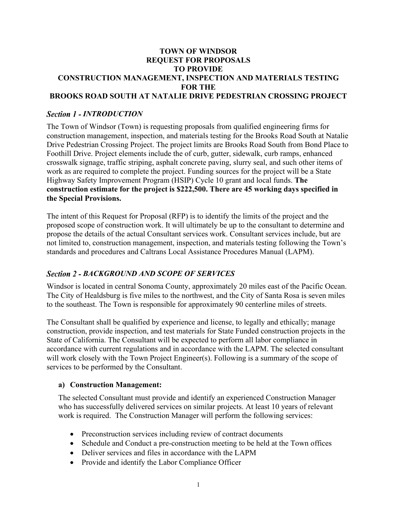#### **TOWN OF WINDSOR REQUEST FOR PROPOSALS TO PROVIDE CONSTRUCTION MANAGEMENT, INSPECTION AND MATERIALS TESTING FOR THE BROOKS ROAD SOUTH AT NATALIE DRIVE PEDESTRIAN CROSSING PROJECT**

# *Section 1 - INTRODUCTION*

The Town of Windsor (Town) is requesting proposals from qualified engineering firms for construction management, inspection, and materials testing for the Brooks Road South at Natalie Drive Pedestrian Crossing Project. The project limits are Brooks Road South from Bond Place to Foothill Drive. Project elements include the of curb, gutter, sidewalk, curb ramps, enhanced crosswalk signage, traffic striping, asphalt concrete paving, slurry seal, and such other items of work as are required to complete the project. Funding sources for the project will be a State Highway Safety Improvement Program (HSIP) Cycle 10 grant and local funds. **The construction estimate for the project is \$222,500. There are 45 working days specified in the Special Provisions.**

The intent of this Request for Proposal (RFP) is to identify the limits of the project and the proposed scope of construction work. It will ultimately be up to the consultant to determine and propose the details of the actual Consultant services work. Consultant services include, but are not limited to, construction management, inspection, and materials testing following the Town's standards and procedures and Caltrans Local Assistance Procedures Manual (LAPM).

### **Section 2 - BACKGROUND AND SCOPE OF SERVICES**

Windsor is located in central Sonoma County, approximately 20 miles east of the Pacific Ocean. The City of Healdsburg is five miles to the northwest, and the City of Santa Rosa is seven miles to the southeast. The Town is responsible for approximately 90 centerline miles of streets.

The Consultant shall be qualified by experience and license, to legally and ethically; manage construction, provide inspection, and test materials for State Funded construction projects in the State of California. The Consultant will be expected to perform all labor compliance in accordance with current regulations and in accordance with the LAPM. The selected consultant will work closely with the Town Project Engineer(s). Following is a summary of the scope of services to be performed by the Consultant.

#### **a) Construction Management:**

The selected Consultant must provide and identify an experienced Construction Manager who has successfully delivered services on similar projects. At least 10 years of relevant work is required. The Construction Manager will perform the following services:

- Preconstruction services including review of contract documents
- Schedule and Conduct a pre-construction meeting to be held at the Town offices
- Deliver services and files in accordance with the LAPM
- Provide and identify the Labor Compliance Officer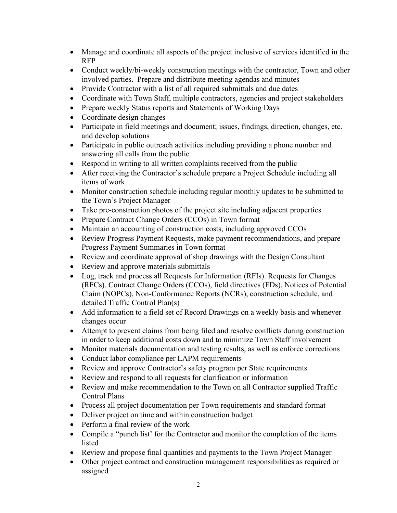- Manage and coordinate all aspects of the project inclusive of services identified in the RFP
- Conduct weekly/bi-weekly construction meetings with the contractor, Town and other involved parties. Prepare and distribute meeting agendas and minutes
- Provide Contractor with a list of all required submittals and due dates
- Coordinate with Town Staff, multiple contractors, agencies and project stakeholders
- Prepare weekly Status reports and Statements of Working Days
- Coordinate design changes
- Participate in field meetings and document; issues, findings, direction, changes, etc. and develop solutions
- Participate in public outreach activities including providing a phone number and answering all calls from the public
- Respond in writing to all written complaints received from the public
- After receiving the Contractor's schedule prepare a Project Schedule including all items of work
- Monitor construction schedule including regular monthly updates to be submitted to the Town's Project Manager
- Take pre-construction photos of the project site including adjacent properties
- Prepare Contract Change Orders (CCOs) in Town format
- Maintain an accounting of construction costs, including approved CCOs
- Review Progress Payment Requests, make payment recommendations, and prepare Progress Payment Summaries in Town format
- Review and coordinate approval of shop drawings with the Design Consultant
- Review and approve materials submittals
- Log, track and process all Requests for Information (RFIs). Requests for Changes (RFCs). Contract Change Orders (CCOs), field directives (FDs), Notices of Potential Claim (NOPCs), Non-Conformance Reports (NCRs), construction schedule, and detailed Traffic Control Plan(s)
- Add information to a field set of Record Drawings on a weekly basis and whenever changes occur
- Attempt to prevent claims from being filed and resolve conflicts during construction in order to keep additional costs down and to minimize Town Staff involvement
- Monitor materials documentation and testing results, as well as enforce corrections
- Conduct labor compliance per LAPM requirements
- Review and approve Contractor's safety program per State requirements
- Review and respond to all requests for clarification or information
- Review and make recommendation to the Town on all Contractor supplied Traffic Control Plans
- Process all project documentation per Town requirements and standard format
- Deliver project on time and within construction budget
- Perform a final review of the work
- Compile a "punch list' for the Contractor and monitor the completion of the items listed
- Review and propose final quantities and payments to the Town Project Manager
- Other project contract and construction management responsibilities as required or assigned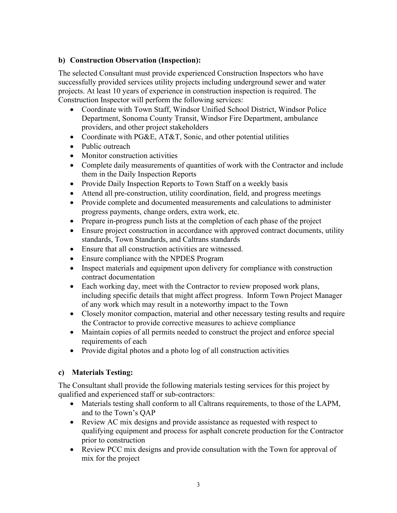# **b) Construction Observation (Inspection):**

The selected Consultant must provide experienced Construction Inspectors who have successfully provided services utility projects including underground sewer and water projects. At least 10 years of experience in construction inspection is required. The Construction Inspector will perform the following services:

- Coordinate with Town Staff, Windsor Unified School District, Windsor Police Department, Sonoma County Transit, Windsor Fire Department, ambulance providers, and other project stakeholders
- Coordinate with PG&E, AT&T, Sonic, and other potential utilities
- Public outreach
- Monitor construction activities
- Complete daily measurements of quantities of work with the Contractor and include them in the Daily Inspection Reports
- Provide Daily Inspection Reports to Town Staff on a weekly basis
- Attend all pre-construction, utility coordination, field, and progress meetings
- Provide complete and documented measurements and calculations to administer progress payments, change orders, extra work, etc.
- Prepare in-progress punch lists at the completion of each phase of the project
- Ensure project construction in accordance with approved contract documents, utility standards, Town Standards, and Caltrans standards
- Ensure that all construction activities are witnessed.
- Ensure compliance with the NPDES Program
- Inspect materials and equipment upon delivery for compliance with construction contract documentation
- Each working day, meet with the Contractor to review proposed work plans, including specific details that might affect progress. Inform Town Project Manager of any work which may result in a noteworthy impact to the Town
- Closely monitor compaction, material and other necessary testing results and require the Contractor to provide corrective measures to achieve compliance
- Maintain copies of all permits needed to construct the project and enforce special requirements of each
- Provide digital photos and a photo log of all construction activities

### **c) Materials Testing:**

The Consultant shall provide the following materials testing services for this project by qualified and experienced staff or sub-contractors:

- Materials testing shall conform to all Caltrans requirements, to those of the LAPM, and to the Town's QAP
- Review AC mix designs and provide assistance as requested with respect to qualifying equipment and process for asphalt concrete production for the Contractor prior to construction
- Review PCC mix designs and provide consultation with the Town for approval of mix for the project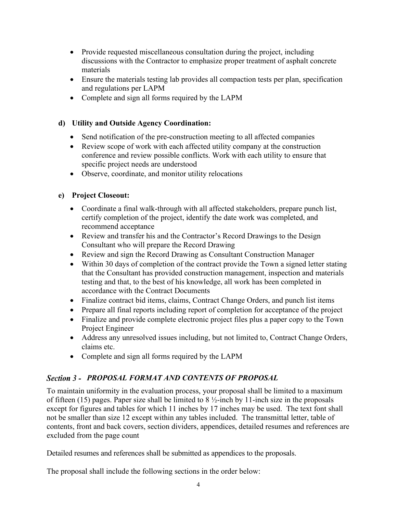- Provide requested miscellaneous consultation during the project, including discussions with the Contractor to emphasize proper treatment of asphalt concrete materials
- Ensure the materials testing lab provides all compaction tests per plan, specification and regulations per LAPM
- Complete and sign all forms required by the LAPM

# **d) Utility and Outside Agency Coordination:**

- Send notification of the pre-construction meeting to all affected companies
- Review scope of work with each affected utility company at the construction conference and review possible conflicts. Work with each utility to ensure that specific project needs are understood
- Observe, coordinate, and monitor utility relocations

# **e) Project Closeout:**

- Coordinate a final walk-through with all affected stakeholders, prepare punch list, certify completion of the project, identify the date work was completed, and recommend acceptance
- Review and transfer his and the Contractor's Record Drawings to the Design Consultant who will prepare the Record Drawing
- Review and sign the Record Drawing as Consultant Construction Manager
- Within 30 days of completion of the contract provide the Town a signed letter stating that the Consultant has provided construction management, inspection and materials testing and that, to the best of his knowledge, all work has been completed in accordance with the Contract Documents
- Finalize contract bid items, claims, Contract Change Orders, and punch list items
- Prepare all final reports including report of completion for acceptance of the project
- Finalize and provide complete electronic project files plus a paper copy to the Town Project Engineer
- Address any unresolved issues including, but not limited to, Contract Change Orders, claims etc.
- Complete and sign all forms required by the LAPM

# *PROPOSAL FORMAT AND CONTENTS OF PROPOSAL*

To maintain uniformity in the evaluation process, your proposal shall be limited to a maximum of fifteen (15) pages. Paper size shall be limited to 8 ½-inch by 11-inch size in the proposals except for figures and tables for which 11 inches by 17 inches may be used. The text font shall not be smaller than size 12 except within any tables included. The transmittal letter, table of contents, front and back covers, section dividers, appendices, detailed resumes and references are excluded from the page count

Detailed resumes and references shall be submitted as appendices to the proposals.

The proposal shall include the following sections in the order below: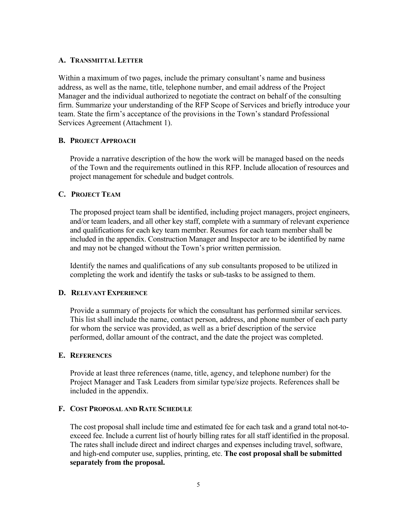#### **A. TRANSMITTAL LETTER**

Within a maximum of two pages, include the primary consultant's name and business address, as well as the name, title, telephone number, and email address of the Project Manager and the individual authorized to negotiate the contract on behalf of the consulting firm. Summarize your understanding of the RFP Scope of Services and briefly introduce your team. State the firm's acceptance of the provisions in the Town's standard Professional Services Agreement (Attachment 1).

#### **B. PROJECT APPROACH**

Provide a narrative description of the how the work will be managed based on the needs of the Town and the requirements outlined in this RFP. Include allocation of resources and project management for schedule and budget controls.

#### **C. PROJECT TEAM**

The proposed project team shall be identified, including project managers, project engineers, and/or team leaders, and all other key staff, complete with a summary of relevant experience and qualifications for each key team member. Resumes for each team member shall be included in the appendix. Construction Manager and Inspector are to be identified by name and may not be changed without the Town's prior written permission.

Identify the names and qualifications of any sub consultants proposed to be utilized in completing the work and identify the tasks or sub-tasks to be assigned to them.

#### **D. RELEVANT EXPERIENCE**

Provide a summary of projects for which the consultant has performed similar services. This list shall include the name, contact person, address, and phone number of each party for whom the service was provided, as well as a brief description of the service performed, dollar amount of the contract, and the date the project was completed.

#### **E. REFERENCES**

Provide at least three references (name, title, agency, and telephone number) for the Project Manager and Task Leaders from similar type/size projects. References shall be included in the appendix.

#### **F. COST PROPOSAL AND RATE SCHEDULE**

The cost proposal shall include time and estimated fee for each task and a grand total not-toexceed fee. Include a current list of hourly billing rates for all staff identified in the proposal. The rates shall include direct and indirect charges and expenses including travel, software, and high-end computer use, supplies, printing, etc. **The cost proposal shall be submitted separately from the proposal.**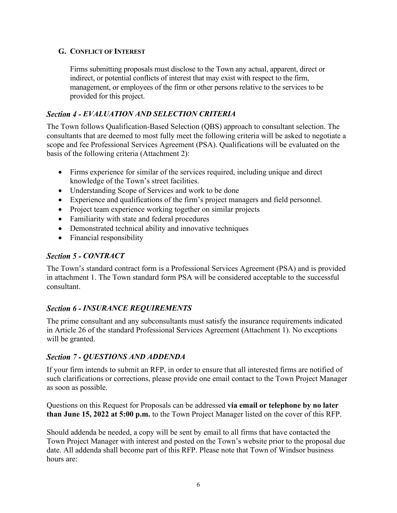### **G. CONFLICT OF INTEREST**

Firms submitting proposals must disclose to the Town any actual, apparent, direct or indirect, or potential conflicts of interest that may exist with respect to the firm, management, or employees of the firm or other persons relative to the services to be provided for this project.

# *EVALUATION AND SELECTION CRITERIA*

The Town follows Qualification-Based Selection (QBS) approach to consultant selection. The consultants that are deemed to most fully meet the following criteria will be asked to negotiate a scope and fee Professional Services Agreement (PSA). Qualifications will be evaluated on the basis of the following criteria (Attachment 2):

- Firms experience for similar of the services required, including unique and direct knowledge of the Town's street facilities.
- Understanding Scope of Services and work to be done
- Experience and qualifications of the firm's project managers and field personnel.
- Project team experience working together on similar projects
- Familiarity with state and federal procedures
- Demonstrated technical ability and innovative techniques
- Financial responsibility

# **Section 5 - CONTRACT**

The Town's standard contract form is a Professional Services Agreement (PSA) and is provided in attachment 1. The Town standard form PSA will be considered acceptable to the successful consultant.

# **Section 6 - INSURANCE REQUIREMENTS**

The prime consultant and any subconsultants must satisfy the insurance requirements indicated in Article 26 of the standard Professional Services Agreement (Attachment 1). No exceptions will be granted.

# **Section 7 - QUESTIONS AND ADDENDA**

If your firm intends to submit an RFP, in order to ensure that all interested firms are notified of such clarifications or corrections, please provide one email contact to the Town Project Manager as soon as possible.

Questions on this Request for Proposals can be addressed **via email or telephone by no later than June 15, 2022 at 5:00 p.m.** to the Town Project Manager listed on the cover of this RFP.

Should addenda be needed, a copy will be sent by email to all firms that have contacted the Town Project Manager with interest and posted on the Town's website prior to the proposal due date. All addenda shall become part of this RFP. Please note that Town of Windsor business hours are: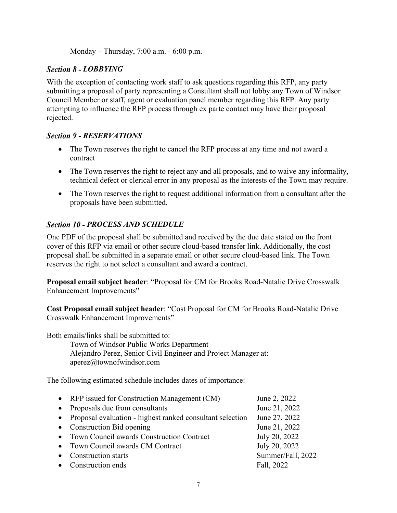Monday – Thursday, 7:00 a.m. - 6:00 p.m.

# *Section 8 - LOBBYING*

With the exception of contacting work staff to ask questions regarding this RFP, any party submitting a proposal of party representing a Consultant shall not lobby any Town of Windsor Council Member or staff, agent or evaluation panel member regarding this RFP. Any party attempting to influence the RFP process through ex parte contact may have their proposal rejected.

# **Section 9 - RESERVATIONS**

- The Town reserves the right to cancel the RFP process at any time and not award a contract
- The Town reserves the right to reject any and all proposals, and to waive any informality, technical defect or clerical error in any proposal as the interests of the Town may require.
- The Town reserves the right to request additional information from a consultant after the proposals have been submitted.

# *Section 10 - PROCESS AND SCHEDULE*

One PDF of the proposal shall be submitted and received by the due date stated on the front cover of this RFP via email or other secure cloud-based transfer link. Additionally, the cost proposal shall be submitted in a separate email or other secure cloud-based link. The Town reserves the right to not select a consultant and award a contract.

**Proposal email subject header**: "Proposal for CM for Brooks Road-Natalie Drive Crosswalk Enhancement Improvements"

**Cost Proposal email subject header**: "Cost Proposal for CM for Brooks Road-Natalie Drive Crosswalk Enhancement Improvements"

Both emails/links shall be submitted to:

Town of Windsor Public Works Department Alejandro Perez, Senior Civil Engineer and Project Manager at: aperez@townofwindsor.com

The following estimated schedule includes dates of importance:

| • RFP issued for Construction Management (CM)               | June 2, 2022      |
|-------------------------------------------------------------|-------------------|
| • Proposals due from consultants                            | June 21, 2022     |
| • Proposal evaluation - highest ranked consultant selection | June 27, 2022     |
| • Construction Bid opening                                  | June 21, 2022     |
| • Town Council awards Construction Contract                 | July 20, 2022     |
| • Town Council awards CM Contract                           | July 20, 2022     |
| • Construction starts                                       | Summer/Fall, 2022 |
| • Construction ends                                         | Fall, 2022        |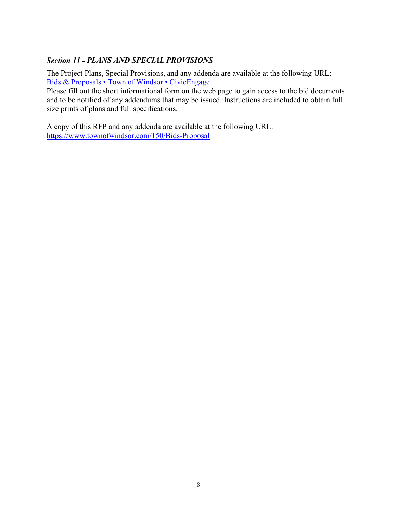# **Section 11 - PLANS AND SPECIAL PROVISIONS**

The Project Plans, Special Provisions, and any addenda are available at the following URL: [Bids & Proposals • Town of Windsor • CivicEngage](https://www.townofwindsor.com/bids.aspx) 

Please fill out the short informational form on the web page to gain access to the bid documents and to be notified of any addendums that may be issued. Instructions are included to obtain full size prints of plans and full specifications.

A copy of this RFP and any addenda are available at the following URL: <https://www.townofwindsor.com/150/Bids-Proposal>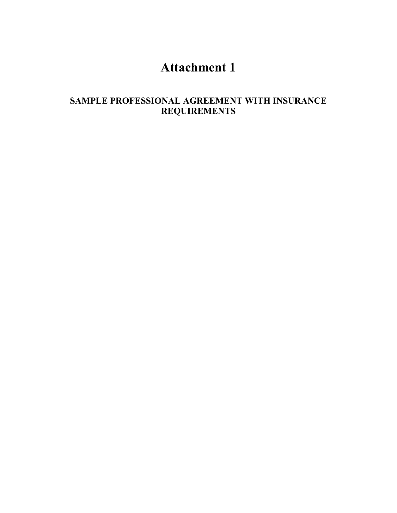# **Attachment 1**

# **SAMPLE PROFESSIONAL AGREEMENT WITH INSURANCE REQUIREMENTS**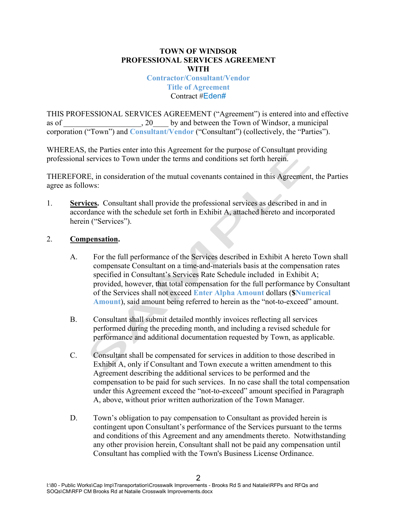#### **TOWN OF WINDSOR PROFESSIONAL SERVICES AGREEMENT WITH**

**Contractor/Consultant/Vendor Title of Agreement** Contract #Eden#

THIS PROFESSIONAL SERVICES AGREEMENT ("Agreement") is entered into and effective as of  $\qquad \qquad$  20 by and between the Town of Windsor, a municipal corporation ("Town") and **Consultant/Vendor** ("Consultant") (collectively, the "Parties").

WHEREAS, the Parties enter into this Agreement for the purpose of Consultant providing professional services to Town under the terms and conditions set forth herein.

THEREFORE, in consideration of the mutual covenants contained in this Agreement, the Parties agree as follows:

1. **Services.** Consultant shall provide the professional services as described in and in accordance with the schedule set forth in Exhibit A, attached hereto and incorporated herein ("Services").

### 2. **Compensation.**

- A. For the full performance of the Services described in Exhibit A hereto Town shall compensate Consultant on a time-and-materials basis at the compensation rates specified in Consultant's Services Rate Schedule included in Exhibit A; provided, however, that total compensation for the full performance by Consultant of the Services shall not exceed **Enter Alpha Amount** dollars (**\$Numerical Amount**), said amount being referred to herein as the "not-to-exceed" amount.
- B. Consultant shall submit detailed monthly invoices reflecting all services performed during the preceding month, and including a revised schedule for performance and additional documentation requested by Town, as applicable.
- C. Consultant shall be compensated for services in addition to those described in Exhibit A, only if Consultant and Town execute a written amendment to this Agreement describing the additional services to be performed and the compensation to be paid for such services. In no case shall the total compensation under this Agreement exceed the "not-to-exceed" amount specified in Paragraph A, above, without prior written authorization of the Town Manager.
- D. Town's obligation to pay compensation to Consultant as provided herein is contingent upon Consultant's performance of the Services pursuant to the terms and conditions of this Agreement and any amendments thereto. Notwithstanding any other provision herein, Consultant shall not be paid any compensation until Consultant has complied with the Town's Business License Ordinance.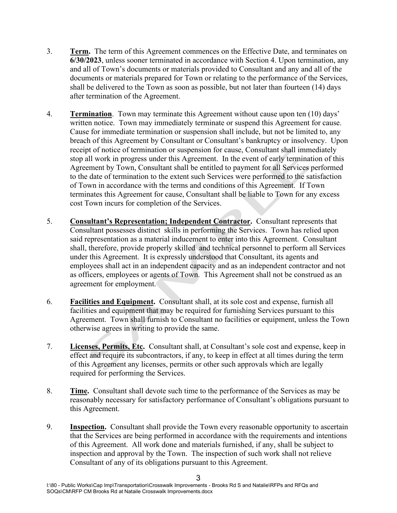- 3. **Term.** The term of this Agreement commences on the Effective Date, and terminates on **6/30/2023**, unless sooner terminated in accordance with Section 4. Upon termination, any and all of Town's documents or materials provided to Consultant and any and all of the documents or materials prepared for Town or relating to the performance of the Services, shall be delivered to the Town as soon as possible, but not later than fourteen (14) days after termination of the Agreement.
- 4. **Termination**. Town may terminate this Agreement without cause upon ten (10) days' written notice. Town may immediately terminate or suspend this Agreement for cause. Cause for immediate termination or suspension shall include, but not be limited to, any breach of this Agreement by Consultant or Consultant's bankruptcy or insolvency. Upon receipt of notice of termination or suspension for cause, Consultant shall immediately stop all work in progress under this Agreement. In the event of early termination of this Agreement by Town, Consultant shall be entitled to payment for all Services performed to the date of termination to the extent such Services were performed to the satisfaction of Town in accordance with the terms and conditions of this Agreement. If Town terminates this Agreement for cause, Consultant shall be liable to Town for any excess cost Town incurs for completion of the Services.
- 5. **Consultant's Representation; Independent Contractor.** Consultant represents that Consultant possesses distinct skills in performing the Services. Town has relied upon said representation as a material inducement to enter into this Agreement. Consultant shall, therefore, provide properly skilled and technical personnel to perform all Services under this Agreement. It is expressly understood that Consultant, its agents and employees shall act in an independent capacity and as an independent contractor and not as officers, employees or agents of Town. This Agreement shall not be construed as an agreement for employment.
- 6. **Facilities and Equipment.** Consultant shall, at its sole cost and expense, furnish all facilities and equipment that may be required for furnishing Services pursuant to this Agreement. Town shall furnish to Consultant no facilities or equipment, unless the Town otherwise agrees in writing to provide the same.
- 7. **Licenses, Permits, Etc.** Consultant shall, at Consultant's sole cost and expense, keep in effect and require its subcontractors, if any, to keep in effect at all times during the term of this Agreement any licenses, permits or other such approvals which are legally required for performing the Services.
- 8. **Time.** Consultant shall devote such time to the performance of the Services as may be reasonably necessary for satisfactory performance of Consultant's obligations pursuant to this Agreement.
- 9. **Inspection.** Consultant shall provide the Town every reasonable opportunity to ascertain that the Services are being performed in accordance with the requirements and intentions of this Agreement. All work done and materials furnished, if any, shall be subject to inspection and approval by the Town. The inspection of such work shall not relieve Consultant of any of its obligations pursuant to this Agreement.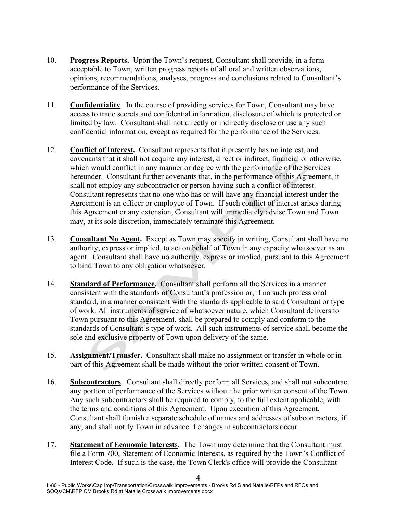- 10. **Progress Reports.** Upon the Town's request, Consultant shall provide, in a form acceptable to Town, written progress reports of all oral and written observations, opinions, recommendations, analyses, progress and conclusions related to Consultant's performance of the Services.
- 11. **Confidentiality**. In the course of providing services for Town, Consultant may have access to trade secrets and confidential information, disclosure of which is protected or limited by law. Consultant shall not directly or indirectly disclose or use any such confidential information, except as required for the performance of the Services.
- 12. **Conflict of Interest.** Consultant represents that it presently has no interest, and covenants that it shall not acquire any interest, direct or indirect, financial or otherwise, which would conflict in any manner or degree with the performance of the Services hereunder. Consultant further covenants that, in the performance of this Agreement, it shall not employ any subcontractor or person having such a conflict of interest. Consultant represents that no one who has or will have any financial interest under the Agreement is an officer or employee of Town. If such conflict of interest arises during this Agreement or any extension, Consultant will immediately advise Town and Town may, at its sole discretion, immediately terminate this Agreement.
- 13. **Consultant No Agent.** Except as Town may specify in writing, Consultant shall have no authority, express or implied, to act on behalf of Town in any capacity whatsoever as an agent. Consultant shall have no authority, express or implied, pursuant to this Agreement to bind Town to any obligation whatsoever.
- 14. **Standard of Performance.** Consultant shall perform all the Services in a manner consistent with the standards of Consultant's profession or, if no such professional standard, in a manner consistent with the standards applicable to said Consultant or type of work. All instruments of service of whatsoever nature, which Consultant delivers to Town pursuant to this Agreement, shall be prepared to comply and conform to the standards of Consultant's type of work. All such instruments of service shall become the sole and exclusive property of Town upon delivery of the same.
- 15. **Assignment/Transfer.** Consultant shall make no assignment or transfer in whole or in part of this Agreement shall be made without the prior written consent of Town.
- 16. **Subcontractors**. Consultant shall directly perform all Services, and shall not subcontract any portion of performance of the Services without the prior written consent of the Town. Any such subcontractors shall be required to comply, to the full extent applicable, with the terms and conditions of this Agreement. Upon execution of this Agreement, Consultant shall furnish a separate schedule of names and addresses of subcontractors, if any, and shall notify Town in advance if changes in subcontractors occur.
- 17. **Statement of Economic Interests.** The Town may determine that the Consultant must file a Form 700, Statement of Economic Interests, as required by the Town's Conflict of Interest Code. If such is the case, the Town Clerk's office will provide the Consultant

4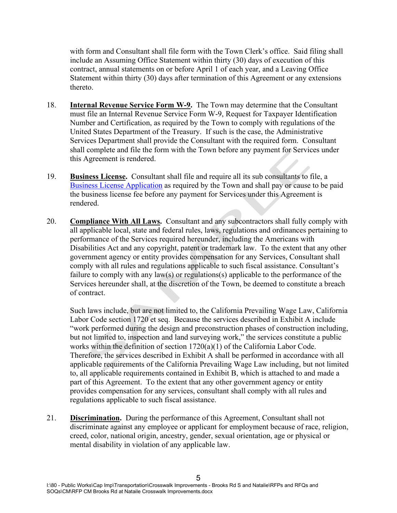with form and Consultant shall file form with the Town Clerk's office. Said filing shall include an Assuming Office Statement within thirty (30) days of execution of this contract, annual statements on or before April 1 of each year, and a Leaving Office Statement within thirty (30) days after termination of this Agreement or any extensions thereto.

- 18. **Internal Revenue Service Form W-9.** The Town may determine that the Consultant must file an Internal Revenue Service Form W-9, Request for Taxpayer Identification Number and Certification, as required by the Town to comply with regulations of the United States Department of the Treasury. If such is the case, the Administrative Services Department shall provide the Consultant with the required form. Consultant shall complete and file the form with the Town before any payment for Services under this Agreement is rendered.
- 19. **Business License.** Consultant shall file and require all its sub consultants to file, a [Business License Application](https://hdl.townofwindsor.com/PrimeWeb/) as required by the Town and shall pay or cause to be paid the business license fee before any payment for Services under this Agreement is rendered.
- 20. **Compliance With All Laws.** Consultant and any subcontractors shall fully comply with all applicable local, state and federal rules, laws, regulations and ordinances pertaining to performance of the Services required hereunder, including the Americans with Disabilities Act and any copyright, patent or trademark law. To the extent that any other government agency or entity provides compensation for any Services, Consultant shall comply with all rules and regulations applicable to such fiscal assistance. Consultant's failure to comply with any law(s) or regulations(s) applicable to the performance of the Services hereunder shall, at the discretion of the Town, be deemed to constitute a breach of contract.

Such laws include, but are not limited to, the California Prevailing Wage Law, California Labor Code section 1720 et seq. Because the services described in Exhibit A include "work performed during the design and preconstruction phases of construction including, but not limited to, inspection and land surveying work," the services constitute a public works within the definition of section 1720(a)(1) of the California Labor Code. Therefore, the services described in Exhibit A shall be performed in accordance with all applicable requirements of the California Prevailing Wage Law including, but not limited to, all applicable requirements contained in Exhibit B, which is attached to and made a part of this Agreement. To the extent that any other government agency or entity provides compensation for any services, consultant shall comply with all rules and regulations applicable to such fiscal assistance.

21. **Discrimination.** During the performance of this Agreement, Consultant shall not discriminate against any employee or applicant for employment because of race, religion, creed, color, national origin, ancestry, gender, sexual orientation, age or physical or mental disability in violation of any applicable law.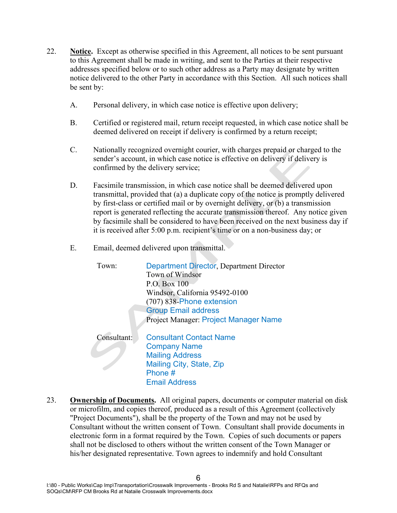- 22. **Notice.** Except as otherwise specified in this Agreement, all notices to be sent pursuant to this Agreement shall be made in writing, and sent to the Parties at their respective addresses specified below or to such other address as a Party may designate by written notice delivered to the other Party in accordance with this Section. All such notices shall be sent by:
	- A. Personal delivery, in which case notice is effective upon delivery;
	- B. Certified or registered mail, return receipt requested, in which case notice shall be deemed delivered on receipt if delivery is confirmed by a return receipt;
	- C. Nationally recognized overnight courier, with charges prepaid or charged to the sender's account, in which case notice is effective on delivery if delivery is confirmed by the delivery service;
	- D. Facsimile transmission, in which case notice shall be deemed delivered upon transmittal, provided that (a) a duplicate copy of the notice is promptly delivered by first-class or certified mail or by overnight delivery, or (b) a transmission report is generated reflecting the accurate transmission thereof. Any notice given by facsimile shall be considered to have been received on the next business day if it is received after 5:00 p.m. recipient's time or on a non-business day; or
	- E. Email, deemed delivered upon transmittal.

| Town:       | <b>Department Director, Department Director</b> |
|-------------|-------------------------------------------------|
|             | Town of Windsor                                 |
|             | P.O. Box 100                                    |
|             | Windsor, California 95492-0100                  |
|             | (707) 838-Phone extension                       |
|             | <b>Group Email address</b>                      |
|             | Project Manager: Project Manager Name           |
| Consultant: | <b>Consultant Contact Name</b>                  |
|             | <b>Company Name</b>                             |
|             | <b>Mailing Address</b>                          |
|             | Mailing City, State, Zip                        |
|             | Phone #                                         |
|             | <b>Email Address</b>                            |

23. **Ownership of Documents.** All original papers, documents or computer material on disk or microfilm, and copies thereof, produced as a result of this Agreement (collectively "Project Documents"), shall be the property of the Town and may not be used by Consultant without the written consent of Town. Consultant shall provide documents in electronic form in a format required by the Town. Copies of such documents or papers shall not be disclosed to others without the written consent of the Town Manager or his/her designated representative. Town agrees to indemnify and hold Consultant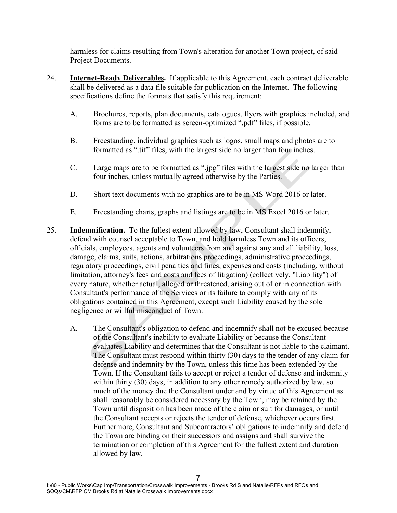harmless for claims resulting from Town's alteration for another Town project, of said Project Documents.

- 24. **Internet-Ready Deliverables.** If applicable to this Agreement, each contract deliverable shall be delivered as a data file suitable for publication on the Internet. The following specifications define the formats that satisfy this requirement:
	- A. Brochures, reports, plan documents, catalogues, flyers with graphics included, and forms are to be formatted as screen-optimized ".pdf" files, if possible.
	- B. Freestanding, individual graphics such as logos, small maps and photos are to formatted as ".tif" files, with the largest side no larger than four inches.
	- C. Large maps are to be formatted as ".jpg" files with the largest side no larger than four inches, unless mutually agreed otherwise by the Parties.
	- D. Short text documents with no graphics are to be in MS Word 2016 or later.
	- E. Freestanding charts, graphs and listings are to be in MS Excel 2016 or later.
- 25. **Indemnification.** To the fullest extent allowed by law, Consultant shall indemnify, defend with counsel acceptable to Town, and hold harmless Town and its officers, officials, employees, agents and volunteers from and against any and all liability, loss, damage, claims, suits, actions, arbitrations proceedings, administrative proceedings, regulatory proceedings, civil penalties and fines, expenses and costs (including, without limitation, attorney's fees and costs and fees of litigation) (collectively, "Liability") of every nature, whether actual, alleged or threatened, arising out of or in connection with Consultant's performance of the Services or its failure to comply with any of its obligations contained in this Agreement, except such Liability caused by the sole negligence or willful misconduct of Town.
	- A. The Consultant's obligation to defend and indemnify shall not be excused because of the Consultant's inability to evaluate Liability or because the Consultant evaluates Liability and determines that the Consultant is not liable to the claimant. The Consultant must respond within thirty (30) days to the tender of any claim for defense and indemnity by the Town, unless this time has been extended by the Town. If the Consultant fails to accept or reject a tender of defense and indemnity within thirty (30) days, in addition to any other remedy authorized by law, so much of the money due the Consultant under and by virtue of this Agreement as shall reasonably be considered necessary by the Town, may be retained by the Town until disposition has been made of the claim or suit for damages, or until the Consultant accepts or rejects the tender of defense, whichever occurs first. Furthermore, Consultant and Subcontractors' obligations to indemnify and defend the Town are binding on their successors and assigns and shall survive the termination or completion of this Agreement for the fullest extent and duration allowed by law.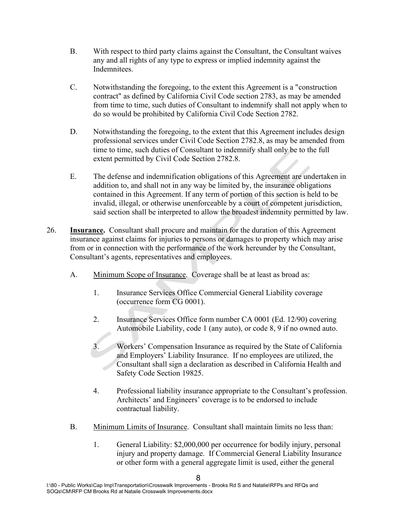- B. With respect to third party claims against the Consultant, the Consultant waives any and all rights of any type to express or implied indemnity against the Indemnitees.
- C. Notwithstanding the foregoing, to the extent this Agreement is a "construction contract" as defined by California Civil Code section 2783, as may be amended from time to time, such duties of Consultant to indemnify shall not apply when to do so would be prohibited by California Civil Code Section 2782.
- D. Notwithstanding the foregoing, to the extent that this Agreement includes design professional services under Civil Code Section 2782.8, as may be amended from time to time, such duties of Consultant to indemnify shall only be to the full extent permitted by Civil Code Section 2782.8.
- E. The defense and indemnification obligations of this Agreement are undertaken in addition to, and shall not in any way be limited by, the insurance obligations contained in this Agreement. If any term of portion of this section is held to be invalid, illegal, or otherwise unenforceable by a court of competent jurisdiction, said section shall be interpreted to allow the broadest indemnity permitted by law.
- 26. **Insurance.** Consultant shall procure and maintain for the duration of this Agreement insurance against claims for injuries to persons or damages to property which may arise from or in connection with the performance of the work hereunder by the Consultant, Consultant's agents, representatives and employees.
	- A. Minimum Scope of Insurance. Coverage shall be at least as broad as:
		- 1. Insurance Services Office Commercial General Liability coverage (occurrence form CG 0001).
		- 2. Insurance Services Office form number CA 0001 (Ed. 12/90) covering Automobile Liability, code 1 (any auto), or code 8, 9 if no owned auto.
		- 3. Workers' Compensation Insurance as required by the State of California and Employers' Liability Insurance. If no employees are utilized, the Consultant shall sign a declaration as described in California Health and Safety Code Section 19825.
		- 4. Professional liability insurance appropriate to the Consultant's profession. Architects' and Engineers' coverage is to be endorsed to include contractual liability.
	- B. Minimum Limits of Insurance. Consultant shall maintain limits no less than:
		- 1. General Liability: \$2,000,000 per occurrence for bodily injury, personal injury and property damage. If Commercial General Liability Insurance or other form with a general aggregate limit is used, either the general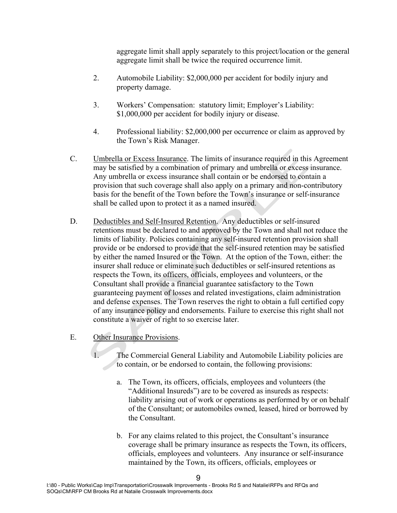aggregate limit shall apply separately to this project/location or the general aggregate limit shall be twice the required occurrence limit.

- 2. Automobile Liability: \$2,000,000 per accident for bodily injury and property damage.
- 3. Workers' Compensation: statutory limit; Employer's Liability: \$1,000,000 per accident for bodily injury or disease.
- 4. Professional liability: \$2,000,000 per occurrence or claim as approved by the Town's Risk Manager.
- C. Umbrella or Excess Insurance. The limits of insurance required in this Agreement may be satisfied by a combination of primary and umbrella or excess insurance. Any umbrella or excess insurance shall contain or be endorsed to contain a provision that such coverage shall also apply on a primary and non-contributory basis for the benefit of the Town before the Town's insurance or self-insurance shall be called upon to protect it as a named insured.
- D. Deductibles and Self-Insured Retention. Any deductibles or self-insured retentions must be declared to and approved by the Town and shall not reduce the limits of liability. Policies containing any self-insured retention provision shall provide or be endorsed to provide that the self-insured retention may be satisfied by either the named Insured or the Town. At the option of the Town, either: the insurer shall reduce or eliminate such deductibles or self-insured retentions as respects the Town, its officers, officials, employees and volunteers, or the Consultant shall provide a financial guarantee satisfactory to the Town guaranteeing payment of losses and related investigations, claim administration and defense expenses. The Town reserves the right to obtain a full certified copy of any insurance policy and endorsements. Failure to exercise this right shall not constitute a waiver of right to so exercise later.
- E. Other Insurance Provisions.

1. The Commercial General Liability and Automobile Liability policies are to contain, or be endorsed to contain, the following provisions:

- a. The Town, its officers, officials, employees and volunteers (the "Additional Insureds") are to be covered as insureds as respects: liability arising out of work or operations as performed by or on behalf of the Consultant; or automobiles owned, leased, hired or borrowed by the Consultant.
- b. For any claims related to this project, the Consultant's insurance coverage shall be primary insurance as respects the Town, its officers, officials, employees and volunteers. Any insurance or self-insurance maintained by the Town, its officers, officials, employees or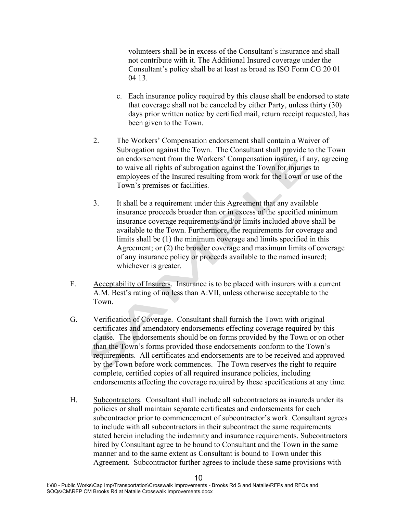volunteers shall be in excess of the Consultant's insurance and shall not contribute with it. The Additional Insured coverage under the Consultant's policy shall be at least as broad as ISO Form CG 20 01 04 13.

- c. Each insurance policy required by this clause shall be endorsed to state that coverage shall not be canceled by either Party, unless thirty (30) days prior written notice by certified mail, return receipt requested, has been given to the Town.
- 2. The Workers' Compensation endorsement shall contain a Waiver of Subrogation against the Town. The Consultant shall provide to the Town an endorsement from the Workers' Compensation insurer, if any, agreeing to waive all rights of subrogation against the Town for injuries to employees of the Insured resulting from work for the Town or use of the Town's premises or facilities.
- 3. It shall be a requirement under this Agreement that any available insurance proceeds broader than or in excess of the specified minimum insurance coverage requirements and/or limits included above shall be available to the Town. Furthermore, the requirements for coverage and limits shall be (1) the minimum coverage and limits specified in this Agreement; or (2) the broader coverage and maximum limits of coverage of any insurance policy or proceeds available to the named insured; whichever is greater.
- F. Acceptability of Insurers. Insurance is to be placed with insurers with a current A.M. Best's rating of no less than A:VII, unless otherwise acceptable to the Town.
- G. Verification of Coverage. Consultant shall furnish the Town with original certificates and amendatory endorsements effecting coverage required by this clause. The endorsements should be on forms provided by the Town or on other than the Town's forms provided those endorsements conform to the Town's requirements. All certificates and endorsements are to be received and approved by the Town before work commences. The Town reserves the right to require complete, certified copies of all required insurance policies, including endorsements affecting the coverage required by these specifications at any time.
- H. Subcontractors. Consultant shall include all subcontractors as insureds under its policies or shall maintain separate certificates and endorsements for each subcontractor prior to commencement of subcontractor's work. Consultant agrees to include with all subcontractors in their subcontract the same requirements stated herein including the indemnity and insurance requirements. Subcontractors hired by Consultant agree to be bound to Consultant and the Town in the same manner and to the same extent as Consultant is bound to Town under this Agreement. Subcontractor further agrees to include these same provisions with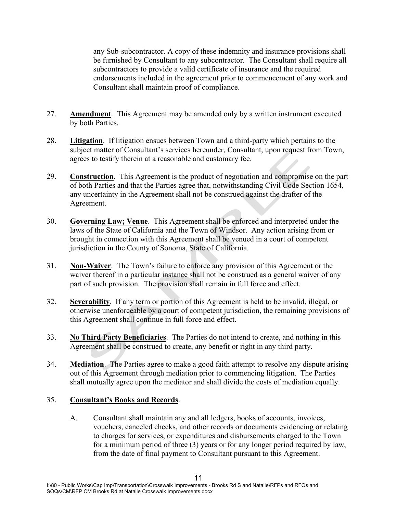any Sub-subcontractor. A copy of these indemnity and insurance provisions shall be furnished by Consultant to any subcontractor. The Consultant shall require all subcontractors to provide a valid certificate of insurance and the required endorsements included in the agreement prior to commencement of any work and Consultant shall maintain proof of compliance.

- 27. **Amendment**. This Agreement may be amended only by a written instrument executed by both Parties.
- 28. **Litigation**. If litigation ensues between Town and a third-party which pertains to the subject matter of Consultant's services hereunder, Consultant, upon request from Town, agrees to testify therein at a reasonable and customary fee.
- 29. **Construction**. This Agreement is the product of negotiation and compromise on the part of both Parties and that the Parties agree that, notwithstanding Civil Code Section 1654, any uncertainty in the Agreement shall not be construed against the drafter of the Agreement.
- 30. **Governing Law; Venue**. This Agreement shall be enforced and interpreted under the laws of the State of California and the Town of Windsor. Any action arising from or brought in connection with this Agreement shall be venued in a court of competent jurisdiction in the County of Sonoma, State of California.
- 31. **Non-Waiver**. The Town's failure to enforce any provision of this Agreement or the waiver thereof in a particular instance shall not be construed as a general waiver of any part of such provision. The provision shall remain in full force and effect.
- 32. **Severability**. If any term or portion of this Agreement is held to be invalid, illegal, or otherwise unenforceable by a court of competent jurisdiction, the remaining provisions of this Agreement shall continue in full force and effect.
- 33. **No Third Party Beneficiaries**. The Parties do not intend to create, and nothing in this Agreement shall be construed to create, any benefit or right in any third party.
- 34. **Mediation**. The Parties agree to make a good faith attempt to resolve any dispute arising out of this Agreement through mediation prior to commencing litigation. The Parties shall mutually agree upon the mediator and shall divide the costs of mediation equally.

### 35. **Consultant's Books and Records**.

A. Consultant shall maintain any and all ledgers, books of accounts, invoices, vouchers, canceled checks, and other records or documents evidencing or relating to charges for services, or expenditures and disbursements charged to the Town for a minimum period of three (3) years or for any longer period required by law, from the date of final payment to Consultant pursuant to this Agreement.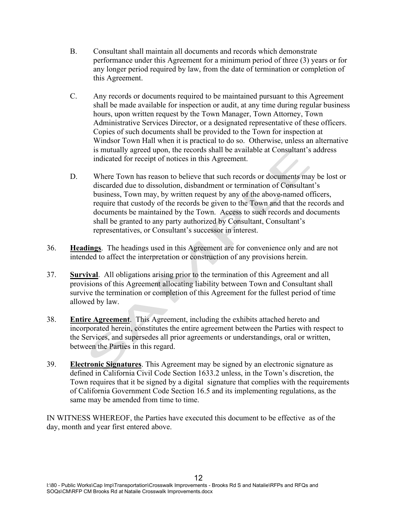- B. Consultant shall maintain all documents and records which demonstrate performance under this Agreement for a minimum period of three (3) years or for any longer period required by law, from the date of termination or completion of this Agreement.
- C. Any records or documents required to be maintained pursuant to this Agreement shall be made available for inspection or audit, at any time during regular business hours, upon written request by the Town Manager, Town Attorney, Town Administrative Services Director, or a designated representative of these officers. Copies of such documents shall be provided to the Town for inspection at Windsor Town Hall when it is practical to do so. Otherwise, unless an alternative is mutually agreed upon, the records shall be available at Consultant's address indicated for receipt of notices in this Agreement.
- D. Where Town has reason to believe that such records or documents may be lost or discarded due to dissolution, disbandment or termination of Consultant's business, Town may, by written request by any of the above-named officers, require that custody of the records be given to the Town and that the records and documents be maintained by the Town. Access to such records and documents shall be granted to any party authorized by Consultant, Consultant's representatives, or Consultant's successor in interest.
- 36. **Headings**. The headings used in this Agreement are for convenience only and are not intended to affect the interpretation or construction of any provisions herein.
- 37. **Survival**. All obligations arising prior to the termination of this Agreement and all provisions of this Agreement allocating liability between Town and Consultant shall survive the termination or completion of this Agreement for the fullest period of time allowed by law.
- 38. **Entire Agreement**. This Agreement, including the exhibits attached hereto and incorporated herein, constitutes the entire agreement between the Parties with respect to the Services, and supersedes all prior agreements or understandings, oral or written, between the Parties in this regard.
- 39. **Electronic Signatures**. This Agreement may be signed by an electronic signature as defined in California Civil Code Section 1633.2 unless, in the Town's discretion, the Town requires that it be signed by a digital signature that complies with the requirements of California Government Code Section 16.5 and its implementing regulations, as the same may be amended from time to time.

IN WITNESS WHEREOF, the Parties have executed this document to be effective as of the day, month and year first entered above.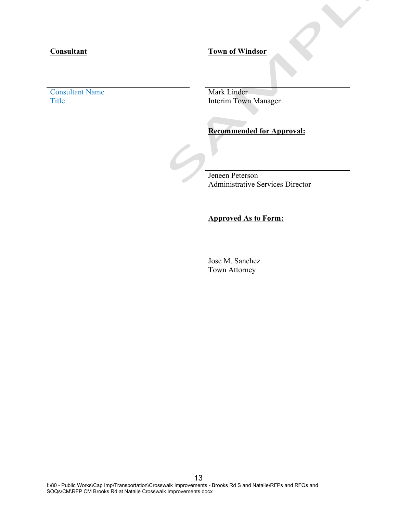# **Consultant Town of Windsor**

Consultant Name<br>Title Mark Linder<br>Title Mark Linder

Interim Town Manager

#### **Recommended for Approval:**

Jeneen Peterson Administrative Services Director

# **Approved As to Form:**

Jose M. Sanchez Town Attorney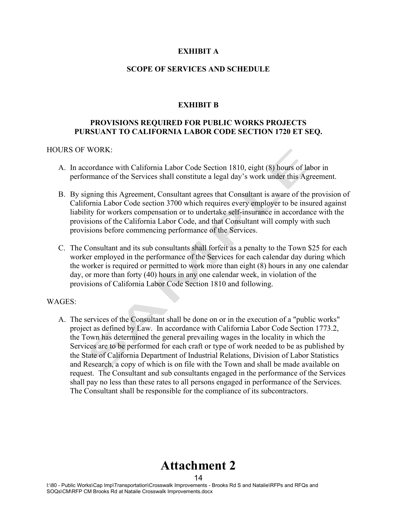#### **EXHIBIT A**

#### **SCOPE OF SERVICES AND SCHEDULE**

#### **EXHIBIT B**

#### **PROVISIONS REQUIRED FOR PUBLIC WORKS PROJECTS PURSUANT TO CALIFORNIA LABOR CODE SECTION 1720 ET SEQ.**

#### HOURS OF WORK:

- A. In accordance with California Labor Code Section 1810, eight (8) hours of labor in performance of the Services shall constitute a legal day's work under this Agreement.
- B. By signing this Agreement, Consultant agrees that Consultant is aware of the provision of California Labor Code section 3700 which requires every employer to be insured against liability for workers compensation or to undertake self-insurance in accordance with the provisions of the California Labor Code, and that Consultant will comply with such provisions before commencing performance of the Services.
- C. The Consultant and its sub consultants shall forfeit as a penalty to the Town \$25 for each worker employed in the performance of the Services for each calendar day during which the worker is required or permitted to work more than eight (8) hours in any one calendar day, or more than forty (40) hours in any one calendar week, in violation of the provisions of California Labor Code Section 1810 and following.

#### WAGES:

A. The services of the Consultant shall be done on or in the execution of a "public works" project as defined by Law. In accordance with California Labor Code Section 1773.2, the Town has determined the general prevailing wages in the locality in which the Services are to be performed for each craft or type of work needed to be as published by the State of California Department of Industrial Relations, Division of Labor Statistics and Research, a copy of which is on file with the Town and shall be made available on request. The Consultant and sub consultants engaged in the performance of the Services shall pay no less than these rates to all persons engaged in performance of the Services. The Consultant shall be responsible for the compliance of its subcontractors.

# 14 **Attachment 2**